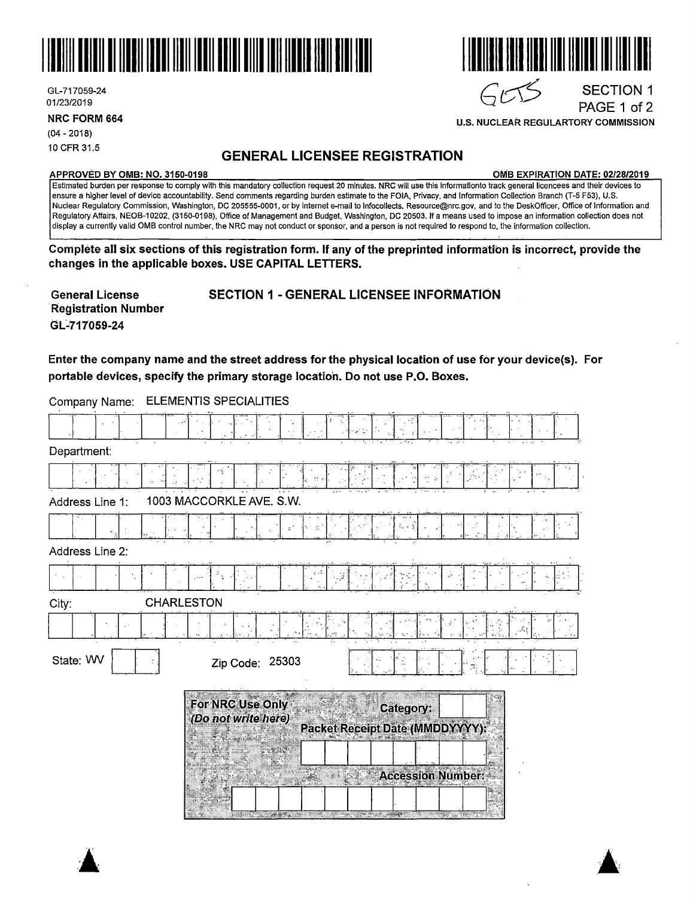

GL-717059-24

**NRC FORM 664** 

(04 - 2018)

# 10 CFR 31.5 **GENERAL LICENSEE REGISTRATION**

#### **APPROVED BY 0MB: NO. 3150-0198 0MB EXPIRATION DATE: 02/28/2019**

PAGE 1 of 2

Estimated burden per response to comply with this mandatory collection request 20 minutes. **NRG will** use this informationto track general licencees and their devices to ensure a higher level of device accountability. Send comments regarding burden estimate to the FOIA, Privacy, and Information Collection Branch (T-5 F53), U.S. Nuclear Regulatory Commission, Washington, DC 205555-0001, or by internet e-mail to lnfocollects. Resource@nrc.gov, and to the DeskOfficer, Office of Information and Regulatory Affairs, NEOB-10202, (3150-0198), Office of Management and Budget, Washington, DC 20503. If a means used to impose an information collection does not display a currently valid 0MB control number, the NRG may not conduct or sponsor, and a person is not required to respond to, the information collection.

**Complete all six sections of this registration form. If any of the preprinted information is incorrect, provide the changes in the applicable boxes. USE CAPITAL LETTERS.** 

**General License R:egistration Number GL417059-24** 

 $\blacktriangle$ .

SECTION 1 - GENERAL LICENSEE INFORMATION

**Enter the company name and the street address for the physical location of use for your device(s). For**  portable devices, specify the primary storage location. Do not use P.O. Boxes.

Company Name: ELEMENTIS SPECIALITIES

| Department:     |                                         |                                                                              |
|-----------------|-----------------------------------------|------------------------------------------------------------------------------|
|                 | ×ý                                      |                                                                              |
| Address Line 1: | 1003 MACCORKLE AVE. S.W.                |                                                                              |
|                 |                                         |                                                                              |
| Address Line 2: |                                         |                                                                              |
|                 |                                         |                                                                              |
| City:           | <b>CHARLESTON</b>                       |                                                                              |
|                 |                                         |                                                                              |
| State: WV       | Zip Code: 25303<br>$\mathbb{R}^n$<br>Ã. |                                                                              |
|                 | For NRC Use Only<br>(Do not write here) | Category:<br>Packet Receipt Date (MMDDYYYY):                                 |
|                 |                                         | <b>Accession Number:</b><br><u> 1989 - Angel Marie, prins mening mengang</u> |



**U.S. NUCLEAR REGULARTORY COMMISSION** 

# GL-717059-24 SECTION 1<br>01/23/2019 PAGE 1 of 2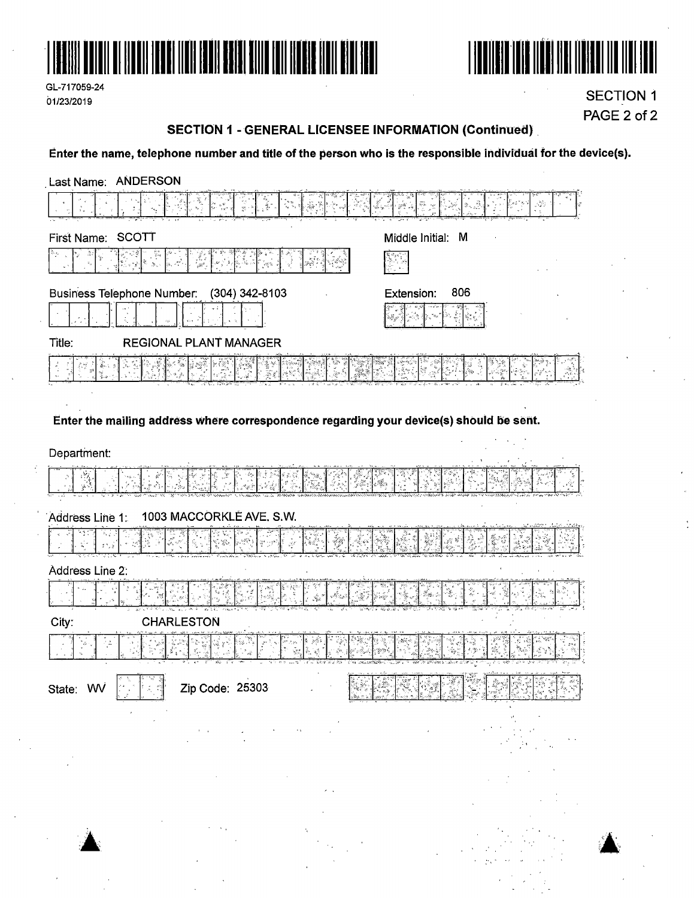





**SECTION 1** PAGE 2 of 2

### **SECTION 1 - GENERAL LICENSEE INFORMATION (Continued)**

## Enter the name, telephone number and title of the person who is the responsible individual for the device(s).

| <b>ANDERSON</b><br>Last Name:                                                           |                                   |
|-----------------------------------------------------------------------------------------|-----------------------------------|
|                                                                                         | $\mathcal{S}^{(0)}_{\mathcal{S}}$ |
| First Name: SCOTT                                                                       | Middle Initial: M                 |
| tin<br>R                                                                                |                                   |
| <b>Business Telephone Number:</b><br>(304) 342-8103                                     | 806<br>Extension:                 |
|                                                                                         |                                   |
| Title:<br><b>REGIONAL PLANT MANAGER</b>                                                 |                                   |
|                                                                                         |                                   |
|                                                                                         |                                   |
| Enter the mailing address where correspondence regarding your device(s) should be sent. |                                   |
| Department:                                                                             |                                   |
|                                                                                         |                                   |
| 1003 MACCORKLÉ AVE. S.W.<br>Address Line 1:                                             |                                   |
| 抗痛                                                                                      |                                   |
| Address Line 2:                                                                         |                                   |
| ين<br>وفي                                                                               |                                   |
| <b>CHARLESTON</b><br>City:                                                              |                                   |
|                                                                                         |                                   |
| Zip Code: 25303<br>State: WV                                                            |                                   |
|                                                                                         |                                   |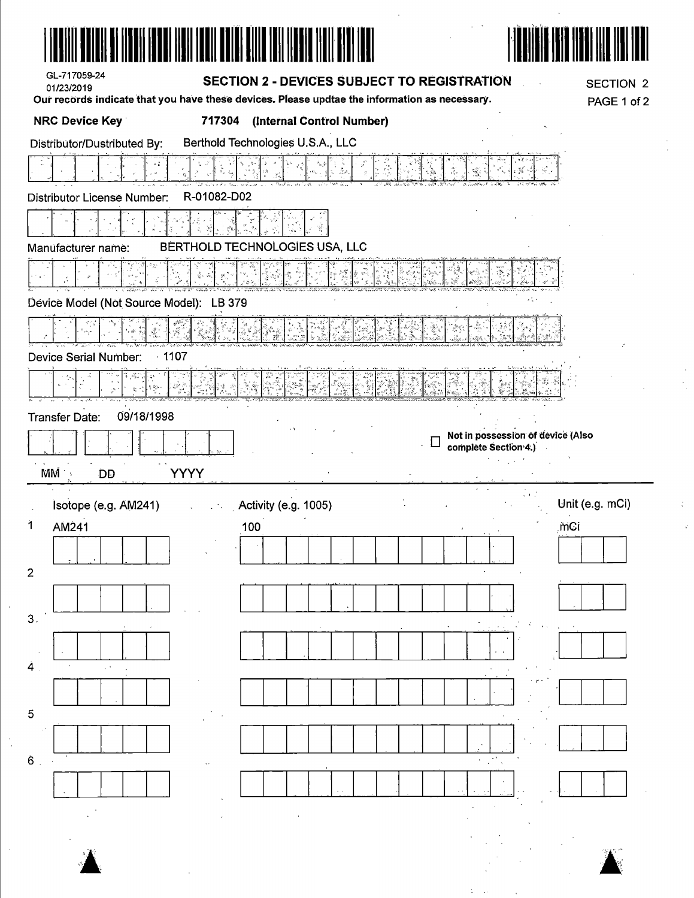| ATULI KA TIKKIT TAKKI TAKTI TURLI KULIN DILI TULI TURLI TIP                                                            |             |                                                    |                  |                  |
|------------------------------------------------------------------------------------------------------------------------|-------------|----------------------------------------------------|------------------|------------------|
| GL-717059-24<br>01/23/2019                                                                                             |             | <b>SECTION 2 - DEVICES SUBJECT TO REGISTRATION</b> |                  | <b>SECTION 2</b> |
| Our records indicate that you have these devices. Please updtae the information as necessary.<br><b>NRC Device Key</b> | 717304      | (Internal Control Number)                          |                  | PAGE 1 of 2      |
| Distributor/Dustributed By:                                                                                            |             | Berthold Technologies U.S.A., LLC                  |                  |                  |
|                                                                                                                        |             |                                                    |                  |                  |
| Distributor License Number:                                                                                            | R-01082-D02 |                                                    |                  |                  |
|                                                                                                                        |             |                                                    |                  |                  |
| Manufacturer name:                                                                                                     |             | BERTHOLD TECHNOLOGIES USA, LLC                     |                  |                  |
| progress                                                                                                               |             |                                                    | ા છે.<br>નાંગ પણ |                  |

|  |  | Device Model (Not Source Model): LB 379 |  |
|--|--|-----------------------------------------|--|
|  |  |                                         |  |

|                       |                                |  | 다. 그 사이는 그 그 사이를 지도 않는데, 그 그 사이를 지도 않은 것이 아니라 그 사이를 지도 않는다. 그 사이에 대한 것이 그 사이를 지도 않는다. 그 사이를 지도 않는다. 그 사이는 그 사이<br>그러나 그 사이를 하는 것이 그 사이를 지도록 그리고 있는 그 사이를 지도 않는다. 그 사이를 지도록 이 그 사이를 지도 않는다. 그 사이를 지도 않는다. 그 사이를 지도 않는다. 그 사이를 지도록 |  |
|-----------------------|--------------------------------|--|----------------------------------------------------------------------------------------------------------------------------------------------------------------------------------------------------------------------------------|--|
| THE WANT FIRE STATE   | ాన్ సామాన్య సంస్థ <i>వి</i> నో |  |                                                                                                                                                                                                                                  |  |
| Device Serial Number: | - 1107                         |  |                                                                                                                                                                                                                                  |  |

|              |           |         |                        | t was a                                                                  |                                    |                                                       |
|--------------|-----------|---------|------------------------|--------------------------------------------------------------------------|------------------------------------|-------------------------------------------------------|
| <b>12.</b> 1 | - 11<br>. | 11.1    |                        | <b>CALL AND MONEY &amp;</b><br><b>The working</b><br>.<br><b>BASE OF</b> | and a series<br>a statistica dell' | <b>Change of the </b><br><b>Minimum Communication</b> |
|              |           |         | <b>Sandwich Street</b> |                                                                          |                                    | - Anna Adda - 201                                     |
|              |           |         |                        |                                                                          |                                    |                                                       |
|              | .         | <i></i> |                        |                                                                          |                                    |                                                       |

 $\ddot{\phantom{a}}$ 

| Transfer Date: | 09/18/1998 |
|----------------|------------|
|----------------|------------|

| NANÃ<br>٠ | חר |                    |
|-----------|----|--------------------|
| 48        | ٠  | $\mathbf{r}_{k}$ . |
| h.        | л  | ٠                  |

| Isotope (e.g. AM241) | $\sim$ Activity (e.g. 1005) |
|----------------------|-----------------------------|
| AM241                | 100                         |

| 1                       | AM241 |  |  |
|-------------------------|-------|--|--|
|                         |       |  |  |
| $\overline{\mathbf{c}}$ |       |  |  |
|                         |       |  |  |
| 3.                      |       |  |  |
|                         |       |  |  |
| 4                       | ï     |  |  |
|                         |       |  |  |
| 5                       |       |  |  |

| . . |  |  |  |
|-----|--|--|--|
|     |  |  |  |
| 3   |  |  |  |
|     |  |  |  |
|     |  |  |  |
|     |  |  |  |

 $\frac{1}{2}$ 

Not in possession of device (Also<br>
complete Section 4.)  $\lambda$  ,  $\lambda$  ,  $\lambda$  ,  $\lambda$  $\overline{z}$  $\frac{1}{2}$ 

 $\mathcal{A}(\mathcal{A})=\mathcal{A}(\mathcal{A})$ 

 $\frac{1}{2}$ 

| Unit (e.g. mCi) |
|-----------------|
| mci             |
|                 |
|                 |
|                 |
|                 |
|                 |

 $\mathcal{I}$ 

 $\mathbf{I}$  $\mathbf{I}$ 





 $\mathcal{L}^{\mathcal{L}}$ 

 $\ddot{\phantom{a}}$ 

 $\mathcal{L}^{\text{max}}_{\text{max}}$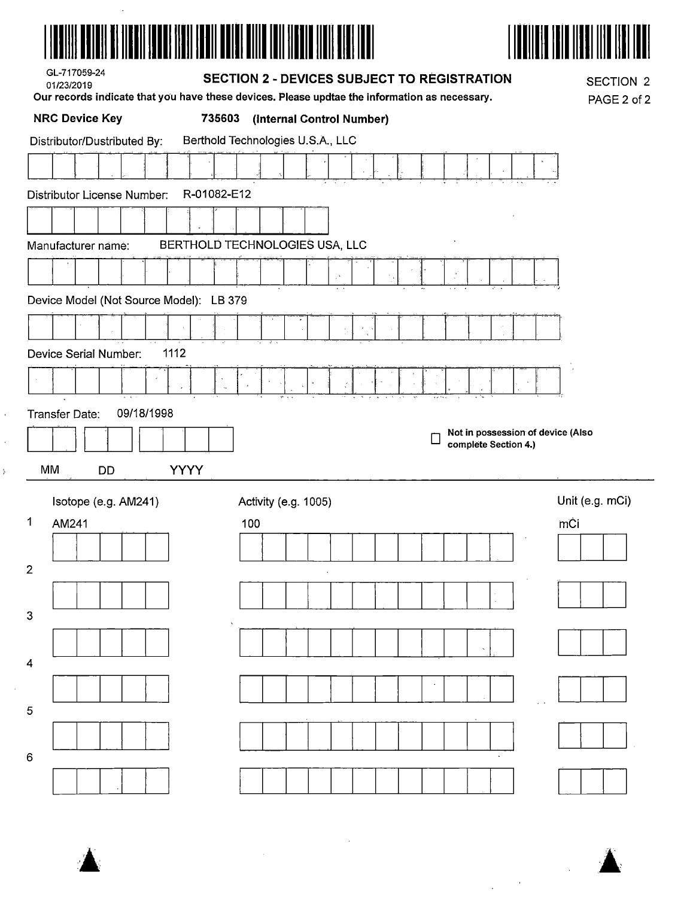



| GL-717059-24<br>01/23/2019                 | <b>SECTION 2 - DEVICES SUBJECT TO REGISTRATION</b><br>Our records indicate that you have these devices. Please updtae the information as necessary. | <b>SECTION 2</b><br>PAGE 2 of 2 |
|--------------------------------------------|-----------------------------------------------------------------------------------------------------------------------------------------------------|---------------------------------|
| <b>NRC Device Key</b><br>735603            | (Internal Control Number)                                                                                                                           |                                 |
| Distributor/Dustributed By:                | Berthold Technologies U.S.A., LLC                                                                                                                   |                                 |
|                                            |                                                                                                                                                     |                                 |
| R-01082-E12<br>Distributor License Number: |                                                                                                                                                     |                                 |
|                                            |                                                                                                                                                     |                                 |
| Manufacturer name:                         | BERTHOLD TECHNOLOGIES USA, LLC                                                                                                                      |                                 |
|                                            |                                                                                                                                                     |                                 |
| Device Model (Not Source Model): LB 379    |                                                                                                                                                     |                                 |
|                                            |                                                                                                                                                     |                                 |
| 1112<br>Device Serial Number:              |                                                                                                                                                     |                                 |
|                                            |                                                                                                                                                     |                                 |
| 09/18/1998<br>Transfer Date:               |                                                                                                                                                     |                                 |
|                                            | Not in possession of device (Also<br>complete Section 4.)                                                                                           |                                 |
| <b>YYYY</b><br>МM<br>DD                    |                                                                                                                                                     |                                 |
| Isotope (e.g. AM241)                       | Activity (e.g. 1005)                                                                                                                                | Unit (e.g. mCi)                 |
| 1<br>AM241                                 | 100                                                                                                                                                 | mĊi                             |
|                                            |                                                                                                                                                     |                                 |
| 2                                          |                                                                                                                                                     |                                 |
| 3                                          |                                                                                                                                                     |                                 |
|                                            |                                                                                                                                                     |                                 |
| 4                                          |                                                                                                                                                     |                                 |
| 5                                          |                                                                                                                                                     |                                 |
|                                            |                                                                                                                                                     |                                 |
| 6                                          |                                                                                                                                                     |                                 |
|                                            |                                                                                                                                                     |                                 |

 $\bar{\mathcal{A}}$ 

 $\sim 10$ 



 $\frac{1}{\epsilon}$ 

 $\label{eq:2} \frac{1}{\sqrt{2}}\int_{0}^{\infty}\frac{1}{\sqrt{2}}\,d\mu_{\rm{eff}}\,d\mu_{\rm{eff}}$ 

 $\sim$   $\sim$  $\hat{\mathcal{A}}$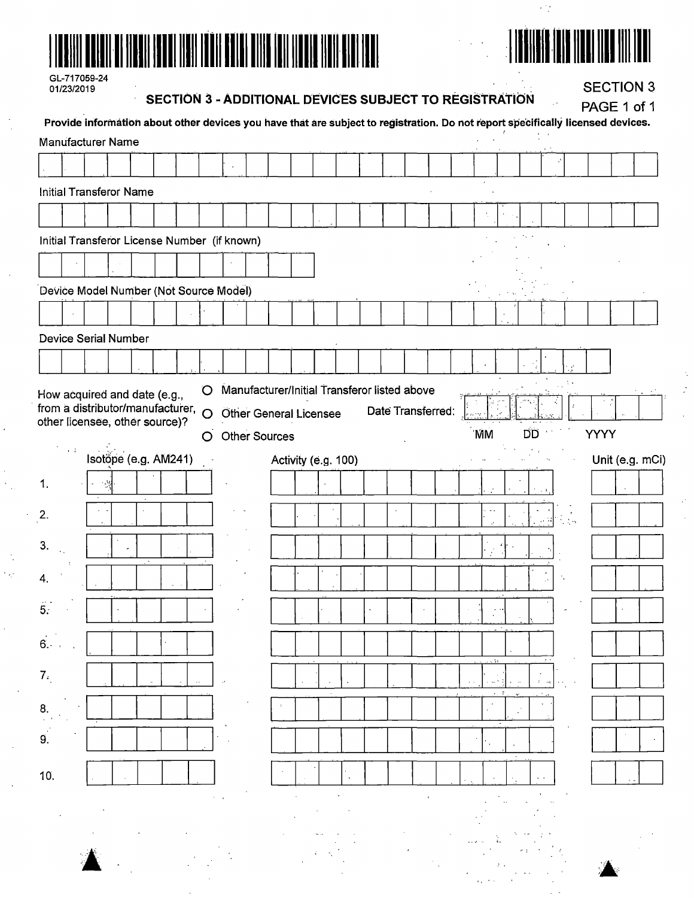

## EN ER AND HELL HELL HILL  $\|$

 $\sim$  1  $\mu$ 

 $\hat{L}$  ,  $\hat{L}$ 

| GL-717059-24 |  |
|--------------|--|
| 01/23/2019   |  |

SECTION 3 - ADDITIONAL DEVICES SUBJECT TO REGISTRATION  $\hat{\mathcal{L}}$ 

**SECTION 3** 

|                                              |                              |                                                                                                                                 |  |         |                      |  | SECTION 3 - ADDITIONAL DEVICES SUBJECT TO REGISTRATION |  |                   |  |           |    |       |  |             | PAGE 1 of 1    |  |
|----------------------------------------------|------------------------------|---------------------------------------------------------------------------------------------------------------------------------|--|---------|----------------------|--|--------------------------------------------------------|--|-------------------|--|-----------|----|-------|--|-------------|----------------|--|
|                                              |                              | Provide information about other devices you have that are subject to registration. Do not report specifically licensed devices. |  |         |                      |  |                                                        |  |                   |  |           |    |       |  |             |                |  |
| <b>Manufacturer Name</b>                     |                              |                                                                                                                                 |  |         |                      |  |                                                        |  |                   |  |           |    |       |  |             |                |  |
|                                              |                              |                                                                                                                                 |  |         |                      |  |                                                        |  |                   |  |           |    |       |  |             |                |  |
| <b>Initial Transferor Name</b>               |                              |                                                                                                                                 |  |         |                      |  |                                                        |  |                   |  |           |    |       |  |             |                |  |
|                                              |                              |                                                                                                                                 |  |         |                      |  |                                                        |  |                   |  |           |    |       |  |             |                |  |
|                                              |                              |                                                                                                                                 |  |         |                      |  |                                                        |  |                   |  |           |    |       |  |             |                |  |
| Initial Transferor License Number (if known) |                              |                                                                                                                                 |  |         |                      |  |                                                        |  |                   |  |           |    |       |  |             |                |  |
|                                              |                              |                                                                                                                                 |  |         |                      |  |                                                        |  |                   |  |           |    |       |  |             |                |  |
| Device Model Number (Not Source Model)       |                              |                                                                                                                                 |  |         |                      |  |                                                        |  |                   |  |           |    |       |  |             |                |  |
|                                              |                              |                                                                                                                                 |  |         |                      |  |                                                        |  |                   |  |           |    |       |  |             |                |  |
|                                              |                              |                                                                                                                                 |  |         |                      |  |                                                        |  |                   |  |           |    |       |  |             |                |  |
| <b>Device Serial Number</b>                  |                              |                                                                                                                                 |  |         |                      |  |                                                        |  |                   |  |           |    |       |  |             |                |  |
|                                              |                              |                                                                                                                                 |  |         |                      |  |                                                        |  |                   |  |           |    |       |  |             |                |  |
| How acquired and date (e.g.,                 |                              |                                                                                                                                 |  | O       |                      |  | Manufacturer/Initial Transferor listed above           |  |                   |  |           |    |       |  |             |                |  |
| from a distributor/manufacturer,             |                              |                                                                                                                                 |  | $\circ$ |                      |  | <b>Other General Licensee</b>                          |  | Date Transferred: |  |           |    |       |  |             |                |  |
| other licensee, other source)?               |                              |                                                                                                                                 |  | O       | <b>Other Sources</b> |  |                                                        |  |                   |  | <b>MM</b> | DD |       |  | <b>YYYY</b> |                |  |
|                                              | $\mathbf{r} \in \mathcal{V}$ |                                                                                                                                 |  |         |                      |  |                                                        |  |                   |  |           |    |       |  |             |                |  |
|                                              |                              | Isotope (e.g. AM241)                                                                                                            |  |         |                      |  | Activity (e.g. 100)                                    |  |                   |  |           |    |       |  |             | Unit (e.g. mCi |  |
| 1.                                           |                              | - 1                                                                                                                             |  |         |                      |  |                                                        |  |                   |  |           |    |       |  |             |                |  |
| 2.                                           |                              |                                                                                                                                 |  |         |                      |  |                                                        |  |                   |  |           |    |       |  |             |                |  |
|                                              |                              |                                                                                                                                 |  |         |                      |  |                                                        |  |                   |  |           |    | ise W |  |             |                |  |
| 3.                                           |                              |                                                                                                                                 |  |         |                      |  |                                                        |  |                   |  |           |    |       |  |             |                |  |
| 4.                                           |                              |                                                                                                                                 |  |         |                      |  |                                                        |  |                   |  |           |    |       |  |             |                |  |
|                                              |                              |                                                                                                                                 |  |         |                      |  |                                                        |  |                   |  |           |    |       |  |             |                |  |
| 5:                                           |                              |                                                                                                                                 |  |         |                      |  |                                                        |  |                   |  |           |    |       |  |             |                |  |
|                                              |                              |                                                                                                                                 |  |         |                      |  |                                                        |  |                   |  |           |    |       |  |             |                |  |
| 6.                                           |                              |                                                                                                                                 |  |         |                      |  |                                                        |  |                   |  |           |    |       |  |             |                |  |
| 7 <sub>1</sub>                               |                              |                                                                                                                                 |  | $\sim$  |                      |  |                                                        |  |                   |  |           |    |       |  |             |                |  |
|                                              |                              |                                                                                                                                 |  |         |                      |  |                                                        |  |                   |  |           |    |       |  |             |                |  |
| 8.                                           |                              |                                                                                                                                 |  |         |                      |  |                                                        |  |                   |  |           |    |       |  |             |                |  |
| 9.                                           |                              |                                                                                                                                 |  |         |                      |  |                                                        |  |                   |  |           |    |       |  |             |                |  |
|                                              |                              |                                                                                                                                 |  |         |                      |  |                                                        |  |                   |  |           |    |       |  |             |                |  |
| 10.                                          |                              |                                                                                                                                 |  |         |                      |  |                                                        |  |                   |  |           |    |       |  |             |                |  |
|                                              |                              |                                                                                                                                 |  |         |                      |  |                                                        |  |                   |  |           |    |       |  |             |                |  |
|                                              |                              |                                                                                                                                 |  |         |                      |  |                                                        |  |                   |  |           |    |       |  |             |                |  |
|                                              |                              |                                                                                                                                 |  |         |                      |  |                                                        |  |                   |  |           |    |       |  |             |                |  |
|                                              |                              |                                                                                                                                 |  |         |                      |  |                                                        |  |                   |  |           |    |       |  |             |                |  |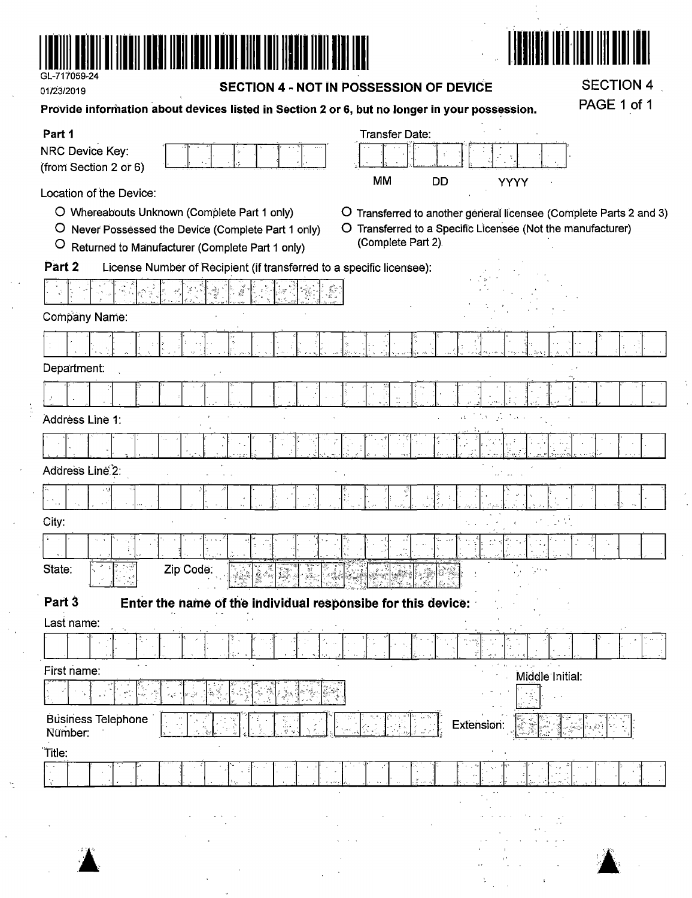

 $\frac{1}{\sqrt{2}}\int\limits_{-\infty}^{\infty}d\tau\int\limits_{-\infty}^{\infty}d\tau\int\limits_{-\infty}^{\infty}d\tau\int\limits_{-\infty}^{\infty}d\tau\int\limits_{-\infty}^{\infty}d\tau\int\limits_{-\infty}^{\infty}d\tau\int\limits_{-\infty}^{\infty}d\tau$ 

| CL-717059-24<br>01/23/2019                                | SECTION 4 - NOT IN POSSESSION OF DEVICE                                                                                                              | <b>SECTION 4</b><br>PAGE 1 of 1 |                                                                     |                                                                                                                                           |      |  |
|-----------------------------------------------------------|------------------------------------------------------------------------------------------------------------------------------------------------------|---------------------------------|---------------------------------------------------------------------|-------------------------------------------------------------------------------------------------------------------------------------------|------|--|
|                                                           | Provide information about devices listed in Section 2 or 6, but no longer in your possession.                                                        |                                 |                                                                     |                                                                                                                                           |      |  |
| Part 1<br><b>NRC Device Key:</b><br>(from Section 2 or 6) |                                                                                                                                                      |                                 | <b>Transfer Date:</b>                                               | ÷,                                                                                                                                        |      |  |
| Location of the Device:<br>$\overline{O}$<br>$\circ$      | O Whereabouts Unknown (Complete Part 1 only)<br>Never Possessed the Device (Complete Part 1 only)<br>Returned to Manufacturer (Complete Part 1 only) |                                 | <b>MM</b><br><b>DD</b><br>(Complete Part 2).                        | YYYY<br>O Transferred to another general licensee (Complete Parts 2 and 3)<br>O Transferred to a Specific Licensee (Not the manufacturer) |      |  |
| Part 2                                                    | License Number of Recipient (if transferred to a specific licensee):                                                                                 |                                 |                                                                     |                                                                                                                                           |      |  |
| Company Name:                                             |                                                                                                                                                      |                                 |                                                                     |                                                                                                                                           |      |  |
|                                                           |                                                                                                                                                      |                                 |                                                                     |                                                                                                                                           |      |  |
|                                                           |                                                                                                                                                      | ŷ                               |                                                                     |                                                                                                                                           |      |  |
| Department:                                               |                                                                                                                                                      |                                 |                                                                     |                                                                                                                                           |      |  |
|                                                           |                                                                                                                                                      |                                 |                                                                     |                                                                                                                                           |      |  |
| Addréss Line 1:                                           |                                                                                                                                                      |                                 |                                                                     |                                                                                                                                           |      |  |
|                                                           |                                                                                                                                                      |                                 |                                                                     |                                                                                                                                           |      |  |
| Address Line <sup>2</sup> :                               |                                                                                                                                                      |                                 |                                                                     |                                                                                                                                           |      |  |
|                                                           |                                                                                                                                                      |                                 |                                                                     |                                                                                                                                           |      |  |
| City:                                                     |                                                                                                                                                      |                                 |                                                                     |                                                                                                                                           |      |  |
|                                                           |                                                                                                                                                      |                                 |                                                                     |                                                                                                                                           |      |  |
| State:<br>ു∦ി പ്രദ                                        | Zip Code:<br>Rau                                                                                                                                     | l.<br>e de Bergel (1964)        | <b>Wire</b><br><u>ing löjvi videl millem miglikas Krimskar Rang</u> |                                                                                                                                           |      |  |
| Part 3                                                    | Enter the name of the individual responsibe for this device:                                                                                         |                                 |                                                                     |                                                                                                                                           |      |  |
| Last name:                                                |                                                                                                                                                      |                                 |                                                                     |                                                                                                                                           |      |  |
|                                                           |                                                                                                                                                      |                                 |                                                                     |                                                                                                                                           |      |  |
| First name:                                               |                                                                                                                                                      |                                 |                                                                     | Middle Initial:                                                                                                                           |      |  |
|                                                           |                                                                                                                                                      |                                 |                                                                     |                                                                                                                                           |      |  |
| Business Telephone<br>Number:                             |                                                                                                                                                      |                                 |                                                                     | Extension:                                                                                                                                |      |  |
| Title:                                                    |                                                                                                                                                      |                                 |                                                                     |                                                                                                                                           |      |  |
|                                                           |                                                                                                                                                      |                                 |                                                                     |                                                                                                                                           |      |  |
|                                                           |                                                                                                                                                      |                                 |                                                                     |                                                                                                                                           |      |  |
| 计置价                                                       |                                                                                                                                                      |                                 |                                                                     |                                                                                                                                           | - 10 |  |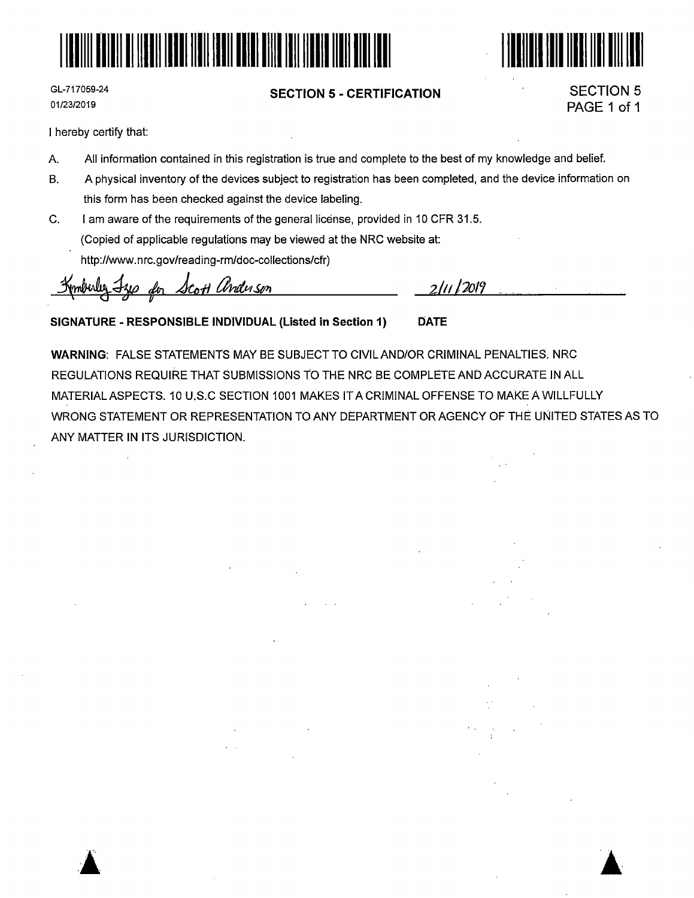



GL-717059-24 01/23/2019

### **SECTION 5** - **CERTIFICATION**

SECTION 5 PAGE 1 of 1

I hereby certify that:

- A. All information contained in this registration is true and complete to the best of my knowledge and belief.
- B. A physical inventory of the devices subject to registration has been completed, and the device information on this form has been checked against the device labeling.
- C. I am aware of the requirements of the general license, provided in 10 CFR 31.5. (Copied of applicable regulations may be viewed at the NRC website at:

http://www.nrc.gov/reading-rm/doc-collections/cfr)

Kmbuley Fze der Scott anderson

2/11 *j')O/'J* 

**SIGNATURE** - **RESPONSIBLE INDIVIDUAL (Listed in Section 1) DATE** 

**WARNING:** FALSE STATEMENTS MAY BE SUBJECT TO CIVIL AND/OR CRIMINAL PENALTIES. NRC REGULATIONS REQUIRE THAT SUBMISSIONS TO THE NRC BE COMPLETE AND ACCURATE IN ALL MATERIAL ASPECTS. 10 U.S.C SECTION 1001 MAKES IT A CRIMINAL OFFENSE TO MAKE A WILLFULLY WRONG STATEMENT OR REPRESENTATION TO ANY DEPARTMENT OR AGENCY OF THE UNliED STATES AS TO ANY MATTER IN ITS JURISDICTION.